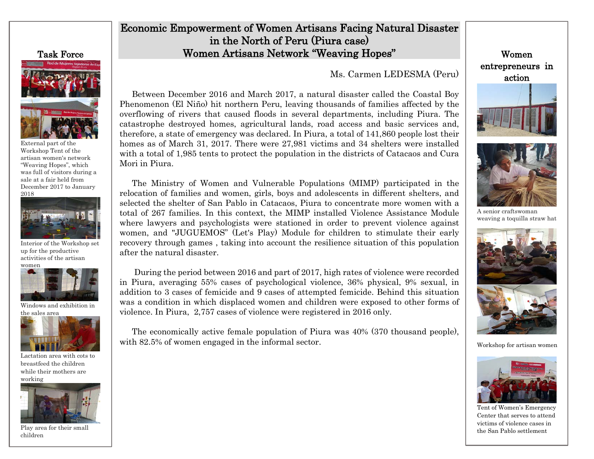## Task Force

External part of the Workshop Tent of the artisan women's network "Weaving Hopes", which was full of visitors during a sale at a fair held from December 2017 to January 2018



 Interior of the Workshop set up for the productive activities of the artisan



 Windows and exhibition in the sales area



Lactation area with cots to breastfeed the children while their mothers are working



Play area for their small children

## Economic Empowerment of Women Artisans Facing Natural Disaster in the North of Peru (Piura case) Women Artisans Network "Weaving Hopes"

Ms. Carmen LEDESMA (Peru)

Between December 2016 and March 2017, a natural disaster called the Coastal Boy Phenomenon (El Niño) hit northern Peru, leaving thousands of families affected by the overflowing of rivers that caused floods in several departments, including Piura. The catastrophe destroyed homes, agricultural lands, road access and basic services and, therefore, a state of emergency was declared. In Piura, a total of 141,860 people lost their homes as of March 31, 2017. There were 27,981 victims and 34 shelters were installed with a total of 1,985 tents to protect the population in the districts of Catacaos and Cura Mori in Piura.

The Ministry of Women and Vulnerable Populations (MIMP) participated in the relocation of families and women, girls, boys and adolescents in different shelters, and selected the shelter of San Pablo in Catacaos, Piura to concentrate more women with a total of 267 families. In this context, the MIMP installed Violence Assistance Module where lawyers and psychologists were stationed in order to prevent violence against women, and "JUGUEMOS" (Let's Play) Module for children to stimulate their early recovery through games , taking into account the resilience situation of this population after the natural disaster.

During the period between 2016 and part of 2017, high rates of violence were recorded in Piura, averaging 55% cases of psychological violence, 36% physical, 9% sexual, in addition to 3 cases of femicide and 9 cases of attempted femicide. Behind this situation was a condition in which displaced women and children were exposed to other forms of violence. In Piura, 2,757 cases of violence were registered in 2016 only.

The economically active female population of Piura was 40% (370 thousand people), with 82.5% of women engaged in the informal sector.

Women entrepreneurs in action





A senior craftswoman weaving a toquilla straw hat



Workshop for artisan women



Tent of Women's Emergency Center that serves to attend victims of violence cases in the San Pablo settlement